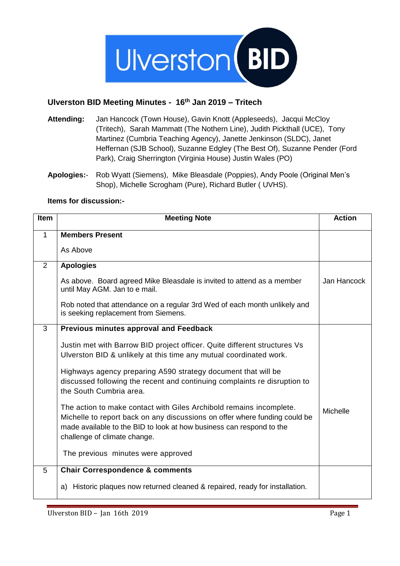

## **Ulverston BID Meeting Minutes - 16th Jan 2019 – Tritech**

- **Attending:** Jan Hancock (Town House), Gavin Knott (Appleseeds), Jacqui McCloy (Tritech), Sarah Mammatt (The Nothern Line), Judith Pickthall (UCE), Tony Martinez (Cumbria Teaching Agency), Janette Jenkinson (SLDC), Janet Heffernan (SJB School), Suzanne Edgley (The Best Of), Suzanne Pender (Ford Park), Craig Sherrington (Virginia House) Justin Wales (PO)
- **Apologies:** Rob Wyatt (Siemens), Mike Bleasdale (Poppies), Andy Poole (Original Men's Shop), Michelle Scrogham (Pure), Richard Butler ( UVHS).

## **Items for discussion:-**

| Item        | <b>Meeting Note</b>                                                                                                                                                                                                                                       | <b>Action</b> |
|-------------|-----------------------------------------------------------------------------------------------------------------------------------------------------------------------------------------------------------------------------------------------------------|---------------|
| $\mathbf 1$ | <b>Members Present</b>                                                                                                                                                                                                                                    |               |
|             | As Above                                                                                                                                                                                                                                                  |               |
| 2           | <b>Apologies</b>                                                                                                                                                                                                                                          |               |
|             | As above. Board agreed Mike Bleasdale is invited to attend as a member<br>until May AGM. Jan to e mail.                                                                                                                                                   | Jan Hancock   |
|             | Rob noted that attendance on a regular 3rd Wed of each month unlikely and<br>is seeking replacement from Siemens.                                                                                                                                         |               |
| 3           | <b>Previous minutes approval and Feedback</b>                                                                                                                                                                                                             |               |
|             | Justin met with Barrow BID project officer. Quite different structures Vs<br>Ulverston BID & unlikely at this time any mutual coordinated work.                                                                                                           |               |
|             | Highways agency preparing A590 strategy document that will be<br>discussed following the recent and continuing complaints re disruption to<br>the South Cumbria area.                                                                                     |               |
|             | The action to make contact with Giles Archibold remains incomplete.<br>Michelle to report back on any discussions on offer where funding could be<br>made available to the BID to look at how business can respond to the<br>challenge of climate change. | Michelle      |
|             | The previous minutes were approved                                                                                                                                                                                                                        |               |
| 5           | <b>Chair Correspondence &amp; comments</b>                                                                                                                                                                                                                |               |
|             | Historic plaques now returned cleaned & repaired, ready for installation.<br>a)                                                                                                                                                                           |               |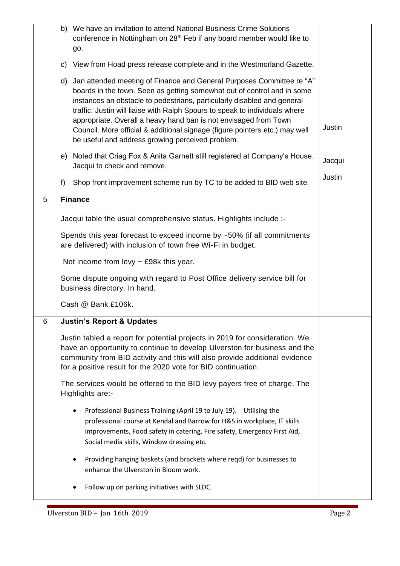|   | b) We have an invitation to attend National Business Crime Solutions<br>conference in Nottingham on 28 <sup>th</sup> Feb if any board member would like to<br>go.                                                                                                                                                                                                                                                                                                                                                       |        |
|---|-------------------------------------------------------------------------------------------------------------------------------------------------------------------------------------------------------------------------------------------------------------------------------------------------------------------------------------------------------------------------------------------------------------------------------------------------------------------------------------------------------------------------|--------|
|   | View from Hoad press release complete and in the Westmorland Gazette.<br>C)                                                                                                                                                                                                                                                                                                                                                                                                                                             |        |
|   | Jan attended meeting of Finance and General Purposes Committee re "A"<br>d)<br>boards in the town. Seen as getting somewhat out of control and in some<br>instances an obstacle to pedestrians, particularly disabled and general<br>traffic. Justin will liaise with Ralph Spours to speak to individuals where<br>appropriate. Overall a heavy hand ban is not envisaged from Town<br>Council. More official & additional signage (figure pointers etc.) may well<br>be useful and address growing perceived problem. | Justin |
|   | Noted that Criag Fox & Anita Garnett still registered at Company's House.<br>e)<br>Jacqui to check and remove.                                                                                                                                                                                                                                                                                                                                                                                                          | Jacqui |
|   | Shop front improvement scheme run by TC to be added to BID web site.<br>f                                                                                                                                                                                                                                                                                                                                                                                                                                               | Justin |
| 5 | <b>Finance</b>                                                                                                                                                                                                                                                                                                                                                                                                                                                                                                          |        |
|   | Jacqui table the usual comprehensive status. Highlights include :-                                                                                                                                                                                                                                                                                                                                                                                                                                                      |        |
|   | Spends this year forecast to exceed income by $~50\%$ (if all commitments<br>are delivered) with inclusion of town free Wi-Fi in budget.                                                                                                                                                                                                                                                                                                                                                                                |        |
|   | Net income from levy $\sim$ £98k this year.                                                                                                                                                                                                                                                                                                                                                                                                                                                                             |        |
|   | Some dispute ongoing with regard to Post Office delivery service bill for<br>business directory. In hand.                                                                                                                                                                                                                                                                                                                                                                                                               |        |
|   | Cash @ Bank £106k.                                                                                                                                                                                                                                                                                                                                                                                                                                                                                                      |        |
| 6 | <b>Justin's Report &amp; Updates</b>                                                                                                                                                                                                                                                                                                                                                                                                                                                                                    |        |
|   | Justin tabled a report for potential projects in 2019 for consideration. We<br>have an opportunity to continue to develop Ulverston for business and the<br>community from BID activity and this will also provide additional evidence<br>for a positive result for the 2020 vote for BID continuation.                                                                                                                                                                                                                 |        |
|   | The services would be offered to the BID levy payers free of charge. The<br>Highlights are:-                                                                                                                                                                                                                                                                                                                                                                                                                            |        |
|   | Professional Business Training (April 19 to July 19). Utilising the<br>professional course at Kendal and Barrow for H&S in workplace, IT skills<br>improvements, Food safety in catering, Fire safety, Emergency First Aid,<br>Social media skills, Window dressing etc.                                                                                                                                                                                                                                                |        |
|   | Providing hanging baskets (and brackets where reqd) for businesses to<br>enhance the Ulverston in Bloom work.                                                                                                                                                                                                                                                                                                                                                                                                           |        |
|   | Follow up on parking initiatives with SLDC.                                                                                                                                                                                                                                                                                                                                                                                                                                                                             |        |